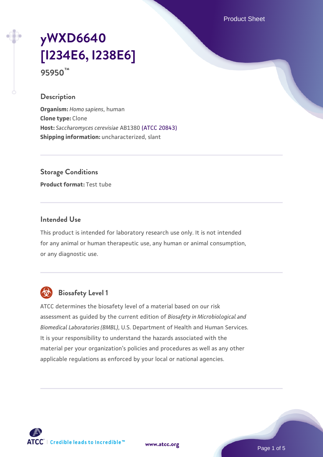Product Sheet

# **[yWXD6640](https://www.atcc.org/products/95950) [\[I234E6, I238E6\]](https://www.atcc.org/products/95950)**

**95950™**

#### **Description**

**Organism:** *Homo sapiens*, human **Clone type:** Clone **Host:** *Saccharomyces cerevisiae* AB1380 [\(ATCC 20843\)](https://www.atcc.org/products/20843) **Shipping information:** uncharacterized, slant

**Storage Conditions**

**Product format:** Test tube

### **Intended Use**

This product is intended for laboratory research use only. It is not intended for any animal or human therapeutic use, any human or animal consumption, or any diagnostic use.



# **Biosafety Level 1**

ATCC determines the biosafety level of a material based on our risk assessment as guided by the current edition of *Biosafety in Microbiological and Biomedical Laboratories (BMBL)*, U.S. Department of Health and Human Services. It is your responsibility to understand the hazards associated with the material per your organization's policies and procedures as well as any other applicable regulations as enforced by your local or national agencies.

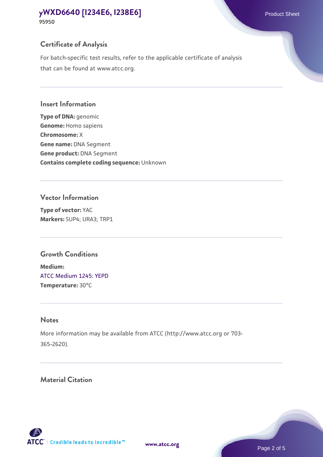#### **[yWXD6640 \[I234E6, I238E6\]](https://www.atcc.org/products/95950)** Product Sheet **95950**

# **Certificate of Analysis**

For batch-specific test results, refer to the applicable certificate of analysis that can be found at www.atcc.org.

#### **Insert Information**

**Type of DNA:** genomic **Genome:** Homo sapiens **Chromosome:** X **Gene name:** DNA Segment **Gene product:** DNA Segment **Contains complete coding sequence:** Unknown

#### **Vector Information**

**Type of vector:** YAC **Markers:** SUP4; URA3; TRP1

# **Growth Conditions**

**Medium:**  [ATCC Medium 1245: YEPD](https://www.atcc.org/-/media/product-assets/documents/microbial-media-formulations/1/2/4/5/atcc-medium-1245.pdf?rev=705ca55d1b6f490a808a965d5c072196) **Temperature:** 30°C

# **Notes**

More information may be available from ATCC (http://www.atcc.org or 703- 365-2620).

# **Material Citation**

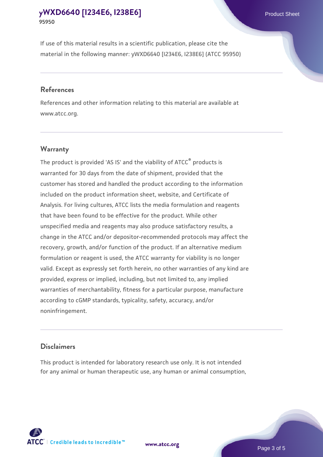# **[yWXD6640 \[I234E6, I238E6\]](https://www.atcc.org/products/95950)** Product Sheet **95950**

If use of this material results in a scientific publication, please cite the material in the following manner: yWXD6640 [I234E6, I238E6] (ATCC 95950)

#### **References**

References and other information relating to this material are available at www.atcc.org.

#### **Warranty**

The product is provided 'AS IS' and the viability of  $ATCC<sup>®</sup>$  products is warranted for 30 days from the date of shipment, provided that the customer has stored and handled the product according to the information included on the product information sheet, website, and Certificate of Analysis. For living cultures, ATCC lists the media formulation and reagents that have been found to be effective for the product. While other unspecified media and reagents may also produce satisfactory results, a change in the ATCC and/or depositor-recommended protocols may affect the recovery, growth, and/or function of the product. If an alternative medium formulation or reagent is used, the ATCC warranty for viability is no longer valid. Except as expressly set forth herein, no other warranties of any kind are provided, express or implied, including, but not limited to, any implied warranties of merchantability, fitness for a particular purpose, manufacture according to cGMP standards, typicality, safety, accuracy, and/or noninfringement.

#### **Disclaimers**

This product is intended for laboratory research use only. It is not intended for any animal or human therapeutic use, any human or animal consumption,



**[www.atcc.org](http://www.atcc.org)**

Page 3 of 5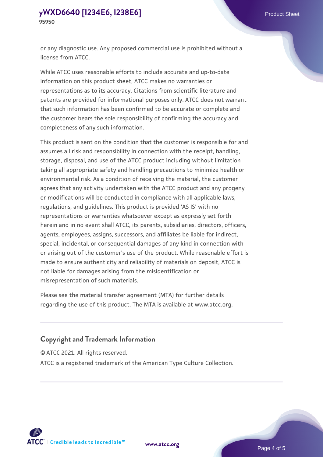or any diagnostic use. Any proposed commercial use is prohibited without a license from ATCC.

While ATCC uses reasonable efforts to include accurate and up-to-date information on this product sheet, ATCC makes no warranties or representations as to its accuracy. Citations from scientific literature and patents are provided for informational purposes only. ATCC does not warrant that such information has been confirmed to be accurate or complete and the customer bears the sole responsibility of confirming the accuracy and completeness of any such information.

This product is sent on the condition that the customer is responsible for and assumes all risk and responsibility in connection with the receipt, handling, storage, disposal, and use of the ATCC product including without limitation taking all appropriate safety and handling precautions to minimize health or environmental risk. As a condition of receiving the material, the customer agrees that any activity undertaken with the ATCC product and any progeny or modifications will be conducted in compliance with all applicable laws, regulations, and guidelines. This product is provided 'AS IS' with no representations or warranties whatsoever except as expressly set forth herein and in no event shall ATCC, its parents, subsidiaries, directors, officers, agents, employees, assigns, successors, and affiliates be liable for indirect, special, incidental, or consequential damages of any kind in connection with or arising out of the customer's use of the product. While reasonable effort is made to ensure authenticity and reliability of materials on deposit, ATCC is not liable for damages arising from the misidentification or misrepresentation of such materials.

Please see the material transfer agreement (MTA) for further details regarding the use of this product. The MTA is available at www.atcc.org.

#### **Copyright and Trademark Information**

© ATCC 2021. All rights reserved.

ATCC is a registered trademark of the American Type Culture Collection.